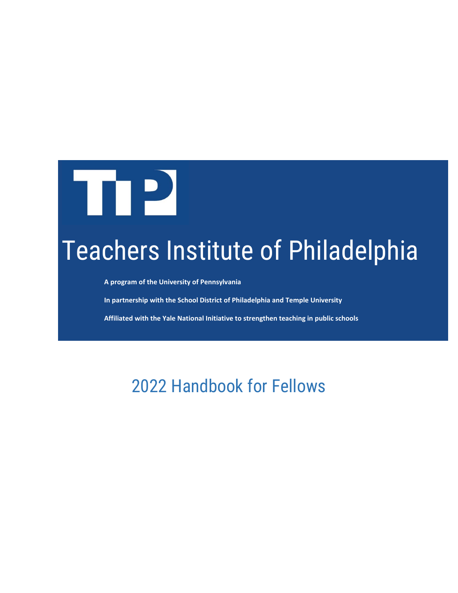

# Teachers Institute of Philadelphia

**A program of the University of Pennsylvania**

**In partnership with the School District of Philadelphia and Temple University**

**Affiliated with the Yale National Initiative to strengthen teaching in public schools**

2022 Handbook for Fellows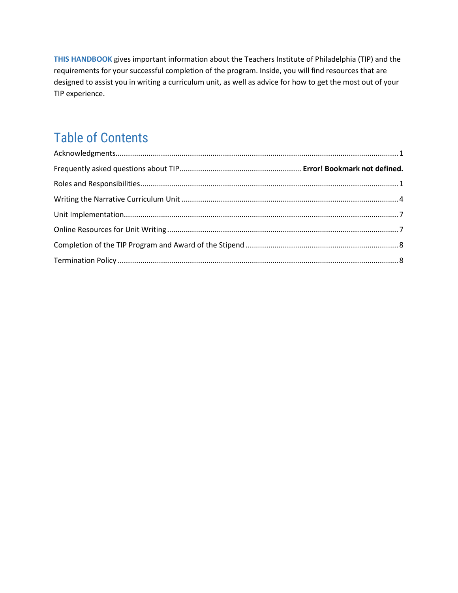**THIS HANDBOOK** gives important information about the Teachers Institute of Philadelphia (TIP) and the requirements for your successful completion of the program. Inside, you will find resources that are designed to assist you in writing a curriculum unit, as well as advice for how to get the most out of your TIP experience.

## Table of Contents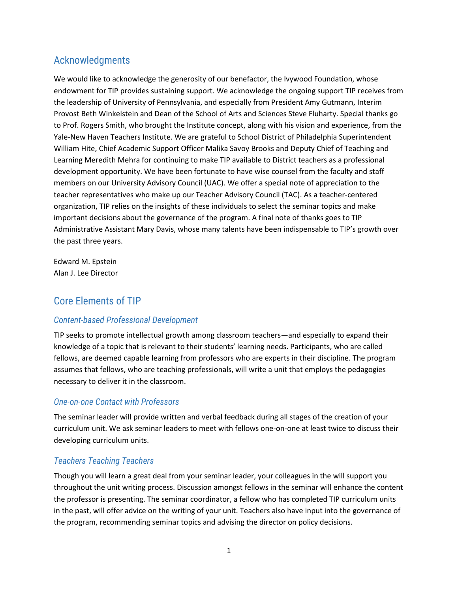### <span id="page-2-0"></span>Acknowledgments

We would like to acknowledge the generosity of our benefactor, the Ivywood Foundation, whose endowment for TIP provides sustaining support. We acknowledge the ongoing support TIP receives from the leadership of University of Pennsylvania, and especially from President Amy Gutmann, Interim Provost Beth Winkelstein and Dean of the School of Arts and Sciences Steve Fluharty. Special thanks go to Prof. Rogers Smith, who brought the Institute concept, along with his vision and experience, from the Yale-New Haven Teachers Institute. We are grateful to School District of Philadelphia Superintendent William Hite, Chief Academic Support Officer Malika Savoy Brooks and Deputy Chief of Teaching and Learning Meredith Mehra for continuing to make TIP available to District teachers as a professional development opportunity. We have been fortunate to have wise counsel from the faculty and staff members on our University Advisory Council (UAC). We offer a special note of appreciation to the teacher representatives who make up our Teacher Advisory Council (TAC). As a teacher-centered organization, TIP relies on the insights of these individuals to select the seminar topics and make important decisions about the governance of the program. A final note of thanks goes to TIP Administrative Assistant Mary Davis, whose many talents have been indispensable to TIP's growth over the past three years.

Edward M. Epstein Alan J. Lee Director

## <span id="page-2-1"></span>Core Elements of TIP

#### *Content-based Professional Development*

TIP seeks to promote intellectual growth among classroom teachers—and especially to expand their knowledge of a topic that is relevant to their students' learning needs. Participants, who are called fellows, are deemed capable learning from professors who are experts in their discipline. The program assumes that fellows, who are teaching professionals, will write a unit that employs the pedagogies necessary to deliver it in the classroom.

#### *One-on-one Contact with Professors*

The seminar leader will provide written and verbal feedback during all stages of the creation of your curriculum unit. We ask seminar leaders to meet with fellows one-on-one at least twice to discuss their developing curriculum units.

#### *Teachers Teaching Teachers*

Though you will learn a great deal from your seminar leader, your colleagues in the will support you throughout the unit writing process. Discussion amongst fellows in the seminar will enhance the content the professor is presenting. The seminar coordinator, a fellow who has completed TIP curriculum units in the past, will offer advice on the writing of your unit. Teachers also have input into the governance of the program, recommending seminar topics and advising the director on policy decisions.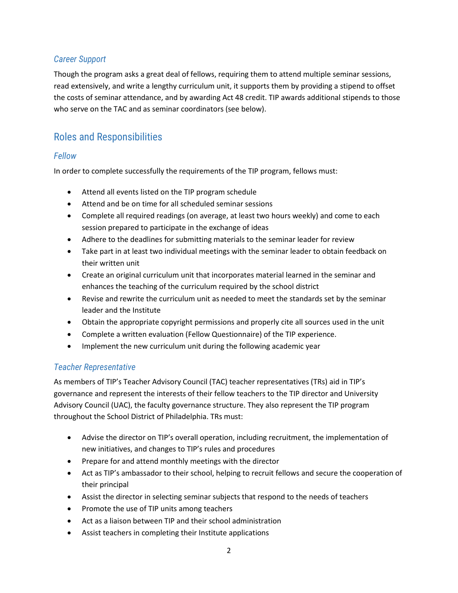#### *Career Support*

Though the program asks a great deal of fellows, requiring them to attend multiple seminar sessions, read extensively, and write a lengthy curriculum unit, it supports them by providing a stipend to offset the costs of seminar attendance, and by awarding Act 48 credit. TIP awards additional stipends to those who serve on the TAC and as seminar coordinators (see below).

## Roles and Responsibilities

#### *Fellow*

In order to complete successfully the requirements of the TIP program, fellows must:

- Attend all events listed on the TIP program schedule
- Attend and be on time for all scheduled seminar sessions
- Complete all required readings (on average, at least two hours weekly) and come to each session prepared to participate in the exchange of ideas
- Adhere to the deadlines for submitting materials to the seminar leader for review
- Take part in at least two individual meetings with the seminar leader to obtain feedback on their written unit
- Create an original curriculum unit that incorporates material learned in the seminar and enhances the teaching of the curriculum required by the school district
- Revise and rewrite the curriculum unit as needed to meet the standards set by the seminar leader and the Institute
- Obtain the appropriate copyright permissions and properly cite all sources used in the unit
- Complete a written evaluation (Fellow Questionnaire) of the TIP experience.
- Implement the new curriculum unit during the following academic year

#### *Teacher Representative*

As members of TIP's Teacher Advisory Council (TAC) teacher representatives (TRs) aid in TIP's governance and represent the interests of their fellow teachers to the TIP director and University Advisory Council (UAC), the faculty governance structure. They also represent the TIP program throughout the School District of Philadelphia. TRs must:

- Advise the director on TIP's overall operation, including recruitment, the implementation of new initiatives, and changes to TIP's rules and procedures
- Prepare for and attend monthly meetings with the director
- Act as TIP's ambassador to their school, helping to recruit fellows and secure the cooperation of their principal
- Assist the director in selecting seminar subjects that respond to the needs of teachers
- Promote the use of TIP units among teachers
- Act as a liaison between TIP and their school administration
- Assist teachers in completing their Institute applications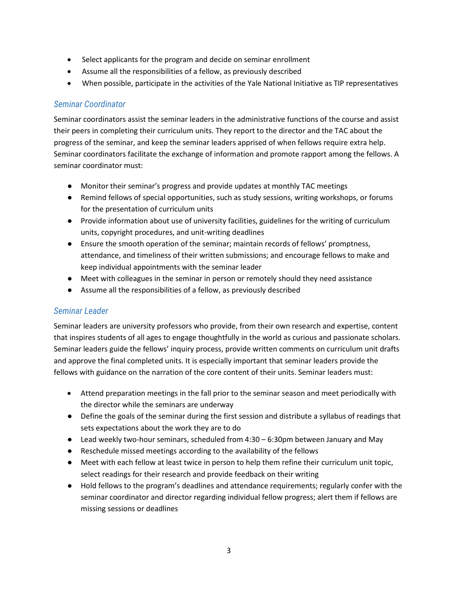- Select applicants for the program and decide on seminar enrollment
- Assume all the responsibilities of a fellow, as previously described
- When possible, participate in the activities of the Yale National Initiative as TIP representatives

#### *Seminar Coordinator*

Seminar coordinators assist the seminar leaders in the administrative functions of the course and assist their peers in completing their curriculum units. They report to the director and the TAC about the progress of the seminar, and keep the seminar leaders apprised of when fellows require extra help. Seminar coordinators facilitate the exchange of information and promote rapport among the fellows. A seminar coordinator must:

- Monitor their seminar's progress and provide updates at monthly TAC meetings
- Remind fellows of special opportunities, such as study sessions, writing workshops, or forums for the presentation of curriculum units
- Provide information about use of university facilities, guidelines for the writing of curriculum units, copyright procedures, and unit-writing deadlines
- Ensure the smooth operation of the seminar; maintain records of fellows' promptness, attendance, and timeliness of their written submissions; and encourage fellows to make and keep individual appointments with the seminar leader
- Meet with colleagues in the seminar in person or remotely should they need assistance
- Assume all the responsibilities of a fellow, as previously described

#### *Seminar Leader*

Seminar leaders are university professors who provide, from their own research and expertise, content that inspires students of all ages to engage thoughtfully in the world as curious and passionate scholars. Seminar leaders guide the fellows' inquiry process, provide written comments on curriculum unit drafts and approve the final completed units. It is especially important that seminar leaders provide the fellows with guidance on the narration of the core content of their units. Seminar leaders must:

- Attend preparation meetings in the fall prior to the seminar season and meet periodically with the director while the seminars are underway
- Define the goals of the seminar during the first session and distribute a syllabus of readings that sets expectations about the work they are to do
- $\bullet$  Lead weekly two-hour seminars, scheduled from 4:30 6:30pm between January and May
- Reschedule missed meetings according to the availability of the fellows
- Meet with each fellow at least twice in person to help them refine their curriculum unit topic, select readings for their research and provide feedback on their writing
- Hold fellows to the program's deadlines and attendance requirements; regularly confer with the seminar coordinator and director regarding individual fellow progress; alert them if fellows are missing sessions or deadlines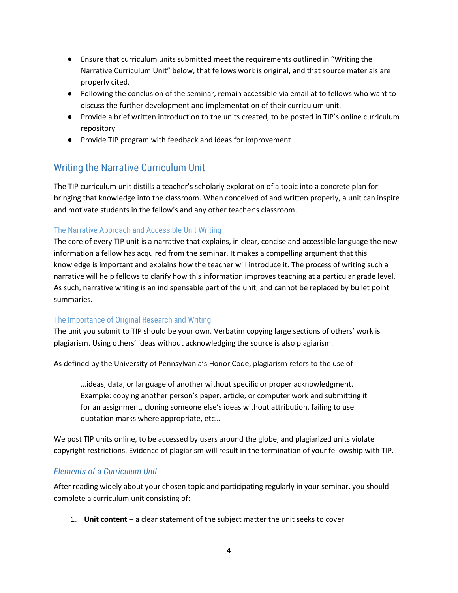- Ensure that curriculum units submitted meet the requirements outlined in "Writing the Narrative Curriculum Unit" below, that fellows work is original, and that source materials are properly cited.
- Following the conclusion of the seminar, remain accessible via email at to fellows who want to discuss the further development and implementation of their curriculum unit.
- Provide a brief written introduction to the units created, to be posted in TIP's online curriculum repository
- Provide TIP program with feedback and ideas for improvement

## <span id="page-5-0"></span>Writing the Narrative Curriculum Unit

The TIP curriculum unit distills a teacher's scholarly exploration of a topic into a concrete plan for bringing that knowledge into the classroom. When conceived of and written properly, a unit can inspire and motivate students in the fellow's and any other teacher's classroom.

#### The Narrative Approach and Accessible Unit Writing

The core of every TIP unit is a narrative that explains, in clear, concise and accessible language the new information a fellow has acquired from the seminar. It makes a compelling argument that this knowledge is important and explains how the teacher will introduce it. The process of writing such a narrative will help fellows to clarify how this information improves teaching at a particular grade level. As such, narrative writing is an indispensable part of the unit, and cannot be replaced by bullet point summaries.

#### The Importance of Original Research and Writing

The unit you submit to TIP should be your own. Verbatim copying large sections of others' work is plagiarism. Using others' ideas without acknowledging the source is also plagiarism.

As defined by the University of Pennsylvania's Honor Code, plagiarism refers to the use of

…ideas, data, or language of another without specific or proper acknowledgment. Example: copying another person's paper, article, or computer work and submitting it for an assignment, cloning someone else's ideas without attribution, failing to use quotation marks where appropriate, etc…

We post TIP units online, to be accessed by users around the globe, and plagiarized units violate copyright restrictions. Evidence of plagiarism will result in the termination of your fellowship with TIP.

#### *Elements of a Curriculum Unit*

After reading widely about your chosen topic and participating regularly in your seminar, you should complete a curriculum unit consisting of:

1. **Unit content** − a clear statement of the subject matter the unit seeks to cover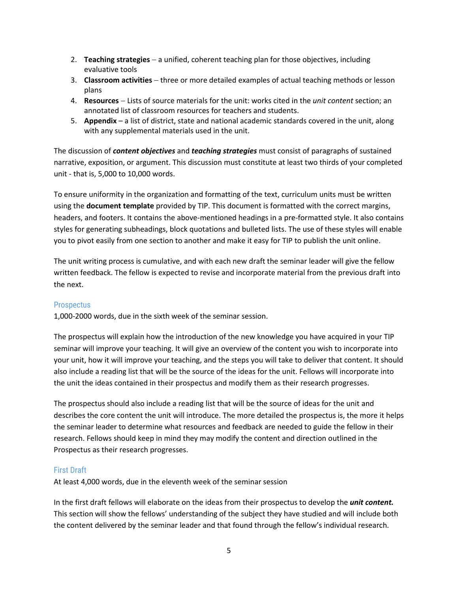- 2. **Teaching strategies** − a unified, coherent teaching plan for those objectives, including evaluative tools
- 3. **Classroom activities** − three or more detailed examples of actual teaching methods or lesson plans
- 4. **Resources** − Lists of source materials for the unit: works cited in the *unit content* section; an annotated list of classroom resources for teachers and students.
- 5. **Appendix** a list of district, state and national academic standards covered in the unit, along with any supplemental materials used in the unit.

The discussion of *content objectives* and *teaching strategies* must consist of paragraphs of sustained narrative, exposition, or argument. This discussion must constitute at least two thirds of your completed unit - that is, 5,000 to 10,000 words.

To ensure uniformity in the organization and formatting of the text, curriculum units must be written using the **document template** provided by TIP. This document is formatted with the correct margins, headers, and footers. It contains the above-mentioned headings in a pre-formatted style. It also contains styles for generating subheadings, block quotations and bulleted lists. The use of these styles will enable you to pivot easily from one section to another and make it easy for TIP to publish the unit online.

The unit writing process is cumulative, and with each new draft the seminar leader will give the fellow written feedback. The fellow is expected to revise and incorporate material from the previous draft into the next.

#### **Prospectus**

1,000-2000 words, due in the sixth week of the seminar session.

The prospectus will explain how the introduction of the new knowledge you have acquired in your TIP seminar will improve your teaching. It will give an overview of the content you wish to incorporate into your unit, how it will improve your teaching, and the steps you will take to deliver that content. It should also include a reading list that will be the source of the ideas for the unit. Fellows will incorporate into the unit the ideas contained in their prospectus and modify them as their research progresses.

The prospectus should also include a reading list that will be the source of ideas for the unit and describes the core content the unit will introduce. The more detailed the prospectus is, the more it helps the seminar leader to determine what resources and feedback are needed to guide the fellow in their research. Fellows should keep in mind they may modify the content and direction outlined in the Prospectus as their research progresses.

#### First Draft

At least 4,000 words, due in the eleventh week of the seminar session

In the first draft fellows will elaborate on the ideas from their prospectus to develop the *unit content.*  This section will show the fellows' understanding of the subject they have studied and will include both the content delivered by the seminar leader and that found through the fellow's individual research.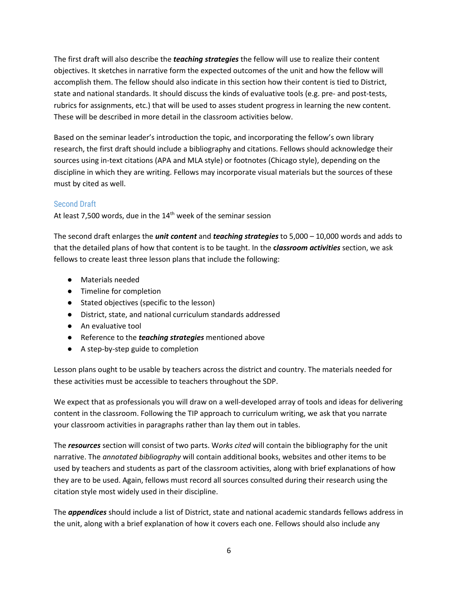The first draft will also describe the *teaching strategies* the fellow will use to realize their content objectives. It sketches in narrative form the expected outcomes of the unit and how the fellow will accomplish them. The fellow should also indicate in this section how their content is tied to District, state and national standards. It should discuss the kinds of evaluative tools (e.g. pre- and post-tests, rubrics for assignments, etc.) that will be used to asses student progress in learning the new content. These will be described in more detail in the classroom activities below.

Based on the seminar leader's introduction the topic, and incorporating the fellow's own library research, the first draft should include a bibliography and citations. Fellows should acknowledge their sources using in-text citations (APA and MLA style) or footnotes (Chicago style), depending on the discipline in which they are writing. Fellows may incorporate visual materials but the sources of these must by cited as well.

#### Second Draft

At least 7,500 words, due in the  $14<sup>th</sup>$  week of the seminar session

The second draft enlarges the *unit content* and *teaching strategies* to 5,000 – 10,000 words and adds to that the detailed plans of how that content is to be taught. In the **c***lassroom activities* section, we ask fellows to create least three lesson plans that include the following:

- Materials needed
- Timeline for completion
- Stated objectives (specific to the lesson)
- District, state, and national curriculum standards addressed
- An evaluative tool
- Reference to the *teaching strategies* mentioned above
- A step-by-step guide to completion

Lesson plans ought to be usable by teachers across the district and country. The materials needed for these activities must be accessible to teachers throughout the SDP.

We expect that as professionals you will draw on a well-developed array of tools and ideas for delivering content in the classroom. Following the TIP approach to curriculum writing, we ask that you narrate your classroom activities in paragraphs rather than lay them out in tables.

The *resources* section will consist of two parts. W*orks cited* will contain the bibliography for the unit narrative. The *annotated bibliography* will contain additional books, websites and other items to be used by teachers and students as part of the classroom activities, along with brief explanations of how they are to be used. Again, fellows must record all sources consulted during their research using the citation style most widely used in their discipline.

The *appendices* should include a list of District, state and national academic standards fellows address in the unit, along with a brief explanation of how it covers each one. Fellows should also include any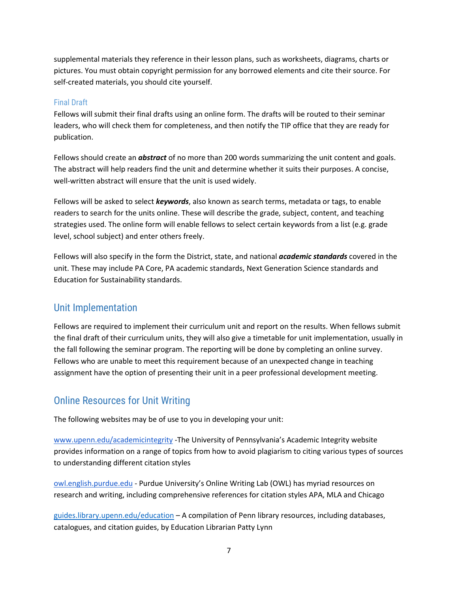supplemental materials they reference in their lesson plans, such as worksheets, diagrams, charts or pictures. You must obtain copyright permission for any borrowed elements and cite their source. For self-created materials, you should cite yourself.

#### Final Draft

Fellows will submit their final drafts using an online form. The drafts will be routed to their seminar leaders, who will check them for completeness, and then notify the TIP office that they are ready for publication.

Fellows should create an *abstract* of no more than 200 words summarizing the unit content and goals. The abstract will help readers find the unit and determine whether it suits their purposes. A concise, well-written abstract will ensure that the unit is used widely.

Fellows will be asked to select *keywords*, also known as search terms, metadata or tags, to enable readers to search for the units online. These will describe the grade, subject, content, and teaching strategies used. The online form will enable fellows to select certain keywords from a list (e.g. grade level, school subject) and enter others freely.

Fellows will also specify in the form the District, state, and national *academic standards* covered in the unit. These may include PA Core, PA academic standards, Next Generation Science standards and Education for Sustainability standards.

#### <span id="page-8-0"></span>Unit Implementation

Fellows are required to implement their curriculum unit and report on the results. When fellows submit the final draft of their curriculum units, they will also give a timetable for unit implementation, usually in the fall following the seminar program. The reporting will be done by completing an online survey. Fellows who are unable to meet this requirement because of an unexpected change in teaching assignment have the option of presenting their unit in a peer professional development meeting.

## <span id="page-8-1"></span>Online Resources for Unit Writing

The following websites may be of use to you in developing your unit:

[www.upenn.edu/academicintegrity](http://www.upenn.edu/academicintegrity) -The University of Pennsylvania's Academic Integrity website provides information on a range of topics from how to avoid plagiarism to citing various types of sources to understanding different citation styles

[owl.english.purdue.edu](http://owl.english.purdue.edu/) - Purdue University's Online Writing Lab (OWL) has myriad resources on research and writing, including comprehensive references for citation styles APA, MLA and Chicago

[guides.library.upenn.edu/education](https://guides.library.upenn.edu/education) – A compilation of Penn library resources, including databases, catalogues, and citation guides, by Education Librarian Patty Lynn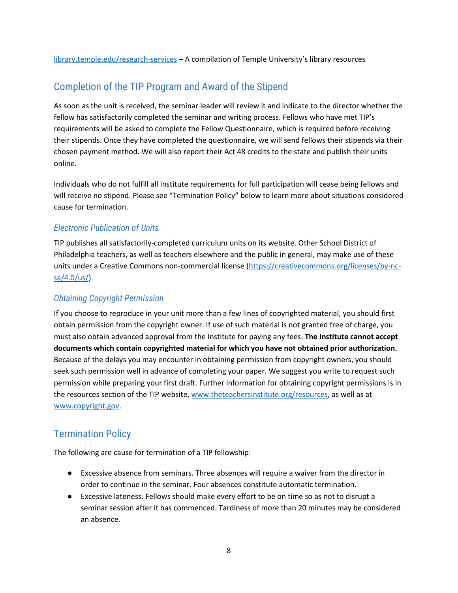[library.temple.edu/research-services](https://library.temple.edu/research-services) – A compilation of Temple University's library resources

## <span id="page-9-0"></span>Completion of the TIP Program and Award of the Stipend

As soon as the unit is received, the seminar leader will review it and indicate to the director whether the fellow has satisfactorily completed the seminar and writing process. Fellows who have met TIP's requirements will be asked to complete the Fellow Questionnaire, which is required before receiving their stipends. Once they have completed the questionnaire, we will send fellows their stipends via their chosen payment method. We will also report their Act 48 credits to the state and publish their units online.

Individuals who do not fulfill all Institute requirements for full participation will cease being fellows and will receive no stipend. Please see "Termination Policy" below to learn more about situations considered cause for termination.

#### *Electronic Publication of Units*

TIP publishes all satisfactorily-completed curriculum units on its website. Other School District of Philadelphia teachers, as well as teachers elsewhere and the public in general, may make use of these units under a Creative Commons non-commercial license [\(https://creativecommons.org/licenses/by-nc](https://creativecommons.org/licenses/by-nc-sa/4.0/us/)[sa/4.0/us/\)](https://creativecommons.org/licenses/by-nc-sa/4.0/us/).

#### *Obtaining Copyright Permission*

If you choose to reproduce in your unit more than a few lines of copyrighted material, you should first obtain permission from the copyright owner. If use of such material is not granted free of charge, you must also obtain advanced approval from the Institute for paying any fees. **The Institute cannot accept documents which contain copyrighted material for which you have not obtained prior authorization.**  Because of the delays you may encounter in obtaining permission from copyright owners, you should seek such permission well in advance of completing your paper. We suggest you write to request such permission while preparing your first draft. Further information for obtaining copyright permissions is in the resources section of the TIP website, [www.theteachersinstitute.org/resources,](file://sas/hum/Shares/TIP/!Program/Program%20Information/Program%20Handbook/www.theteachersinstitute.org/resources) as well as at [www.copyright.gov.](http://www.copyright.gov/)

## <span id="page-9-1"></span>Termination Policy

The following are cause for termination of a TIP fellowship:

- Excessive absence from seminars. Three absences will require a waiver from the director in order to continue in the seminar. Four absences constitute automatic termination.
- Excessive lateness. Fellows should make every effort to be on time so as not to disrupt a seminar session after it has commenced. Tardiness of more than 20 minutes may be considered an absence.